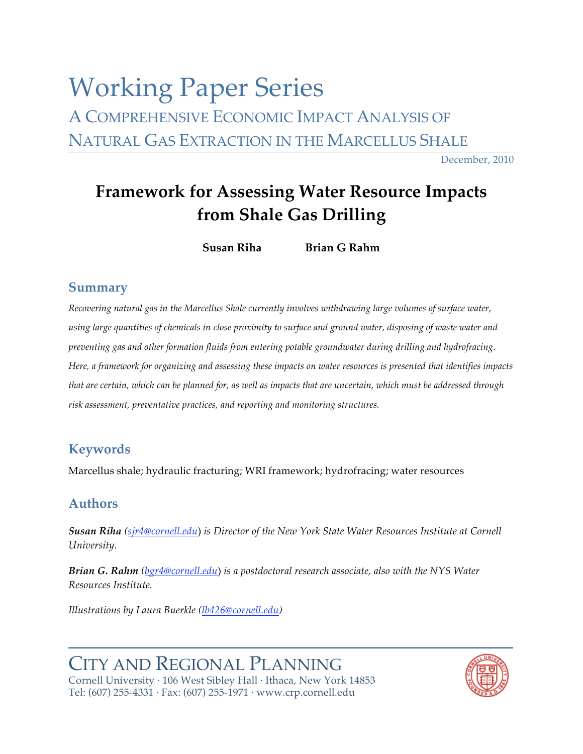# Working Paper
Series A COMPREHENSIVE
ECONOMIC
IMPACT
ANALYSIS
OF NATURAL GAS EXTRACTION IN THE MARCELLUS SHALE

December,
2010

## **Framework
for
Assessing
Water
Resource
Impacts from
Shale
Gas
Drilling**

**Susan
Riha Brian
G
Rahm**

#### **Summary**

Recovering natural gas in the Marcellus Shale currently involves withdrawing large volumes of surface water, using large quantities of chemicals in close proximity to surface and ground water, disposing of waste water and *preventing
gas
and
other
formation
fluids
from
entering
potable
groundwater
during
drilling
and
hydrofracing.*  Here, a framework for organizing and assessing these impacts on water resources is presented that identifies impacts that are certain, which can be planned for, as well as impacts that are uncertain, which must be addressed through *risk
assessment,
preventative
practices,
and
reporting
and
monitoring
structures.*

## **Keywords**

Marcellus shale; hydraulic fracturing; WRI framework; hydrofracing; water resources

## **Authors**

**Susan Riha** (sjr4@cornell.edu) is Director of the New York State Water Resources Institute at Cornell *University.*

**Brian G. Rahm** (bgr4@cornell.edu) is a postdoctoral research associate, also with the NYS Water *Resources
Institute.* 

*Illustrations
by
Laura
Buerkle (lb426@cornell.edu)*

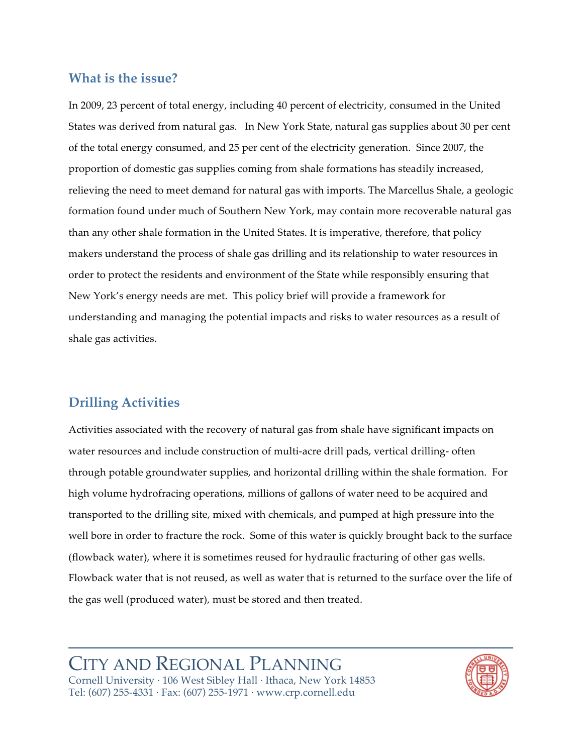#### **What
is the
issue?**

In 2009, 23 percent of total energy, including 40 percent of electricity, consumed in the United States was derived from natural gas. In New York State, natural gas supplies about 30 per cent of the total energy consumed, and 25 per cent of the electricity generation. Since 2007, the proportion
of
domestic
gas
supplies
coming
from
shale
formations
has
steadily
increased, relieving the need to meet demand for natural gas with imports. The Marcellus Shale, a geologic formation
found
under
much
of
Southern
New
York,
may
contain
more
recoverable
natural
gas than
any
other
shale
formation
in
the
United States.
It
is
imperative,
therefore,
that
policy makers understand the process of shale gas drilling and its relationship to water resources in order
to
protect
the
residents
and
environment
of
the
State
while
responsibly
ensuring
that New
York's
energy
needs
are
met.

This
policy
brief
will
provide
a
framework
for understanding and managing the potential impacts and risks to water resources as a result of shale
gas
activities.

## **Drilling
Activities**

Activities
associated
with
the
recovery
of
natural
gas
from
shale
have
significant
impacts
on water resources and include construction of multi-acre drill pads, vertical drilling- often through
potable
groundwater
supplies,
and
horizontal
drilling
within
the
shale
formation.

For high volume hydrofracing operations, millions of gallons of water need to be acquired and transported
to
the
drilling
site,
mixed
with
chemicals,
and
pumped
at
high
pressure
into
the well bore in order to fracture the rock. Some of this water is quickly brought back to the surface (flowback
water),
where
it
is
sometimes
reused
for
hydraulic
fracturing
of
other
gas
wells. Flowback water that is not reused, as well as water that is returned to the surface over the life of the
gas
well
(produced
water),
must
be
stored
and
then
treated.

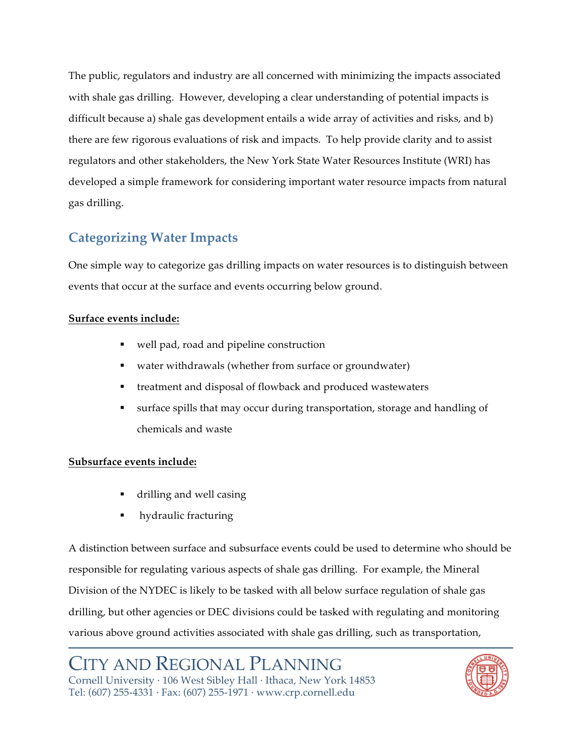The
public,
regulators
and
industry
are
all
concerned
with
minimizing
the
impacts
associated with shale gas drilling. However, developing a clear understanding of potential impacts is difficult because a) shale gas development entails a wide array of activities and risks, and b) there are few rigorous evaluations of risk and impacts. To help provide clarity and to assist regulators
and
other
stakeholders,
the
New
York
State
Water
Resources
Institute
(WRI)
has developed
a
simple
framework
for
considering
important
water
resource
impacts
from
natural gas
drilling.

## **Categorizing
Water
Impacts**

One
simple
way
to
categorize
gas
drilling
impacts
on
water
resources
is
to
distinguish
between events
that
occur
at
the
surface
and
events
occurring
below
ground.

#### **Surface
events
include:**

- well
pad,
road
and
pipeline
construction
- water withdrawals (whether from surface or groundwater)
- treatment and disposal of flowback and produced wastewaters
- surface
spills
that
may
occur
during
transportation,
storage
and
handling
of chemicals
and
waste

#### **Subsurface
events
include:**

- drilling
and
well
casing
- hydraulic
fracturing

A distinction between surface and subsurface events could be used to determine who should be responsible
for
regulating
various
aspects
of
shale
gas
drilling.

For
example,
the
Mineral Division of the NYDEC is likely to be tasked with all below surface regulation of shale gas drilling, but other agencies or DEC divisions could be tasked with regulating and monitoring various
above
ground
activities
associated
with
shale
gas
drilling,
such
as
transportation,

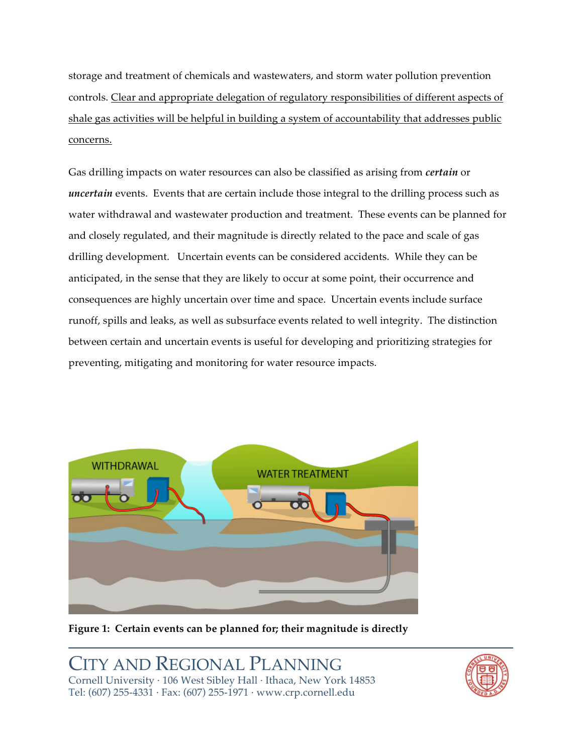storage
and
treatment
of
chemicals
and
wastewaters,
and
storm
water
pollution
prevention controls.
Clear
and
appropriate
delegation
of
regulatory
responsibilities
of
different
aspects
of shale gas activities will be helpful in building a system of accountability that addresses public concerns.

Gas drilling impacts on water resources can also be classified as arising from *certain* or uncertain events. Events that are certain include those integral to the drilling process such as water withdrawal and wastewater production and treatment. These events can be planned for and closely regulated, and their magnitude is directly related to the pace and scale of gas drilling development. Uncertain events can be considered accidents. While they can be anticipated,
in
the
sense
that
they
are
likely
to
occur
at
some
point,
their
occurrence
and consequences
are
highly
uncertain
over
time
and
space.

Uncertain
events
include
surface runoff,
spills
and
leaks,
as
well
as
subsurface
events
related
to
well
integrity.

The
distinction between certain and uncertain events is useful for developing and prioritizing strategies for preventing,
mitigating
and
monitoring
for
water
resource
impacts.



Figure 1: Certain events can be planned for; their magnitude is directly

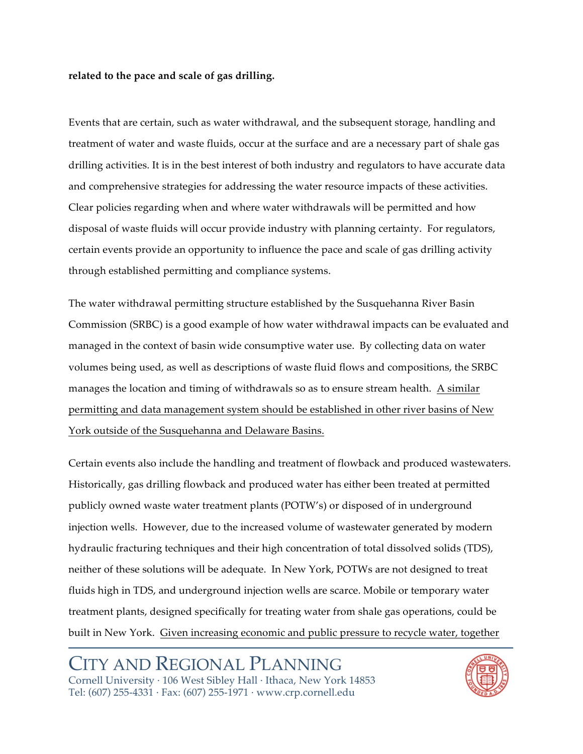#### related to the pace and scale of gas drilling.

Events
that
are
certain,
such
as
water
withdrawal,
and
the
subsequent
storage,
handling
and treatment of water and waste fluids, occur at the surface and are a necessary part of shale gas drilling activities. It is in the best interest of both industry and regulators to have accurate data and
comprehensive
strategies
for
addressing
the
water
resource
impacts
of
these
activities. Clear
policies
regarding
when
and
where
water
withdrawals
will
be
permitted
and
how disposal of waste fluids will occur provide industry with planning certainty. For regulators, certain
events
provide
an
opportunity
to
influence
the
pace
and
scale
of
gas
drilling
activity through
established
permitting
and
compliance
systems.

The
water
withdrawal
permitting
structure
established
by
the
Susquehanna
River
Basin Commission (SRBC) is a good example of how water withdrawal impacts can be evaluated and managed in the context of basin wide consumptive water use. By collecting data on water volumes being used, as well as descriptions of waste fluid flows and compositions, the SRBC manages
the
location
and
timing
of
withdrawals
so
as
to
ensure
stream
health.

A
similar permitting
and
data
management
system
should
be
established
in
other
river
basins
of
New York outside of the Susquehanna and Delaware Basins.

Certain
events
also
include
the
handling
and
treatment
of
flowback
and
produced
wastewaters. Historically,
gas
drilling
flowback
and
produced
water
has
either
been
treated
at
permitted publicly
owned
waste
water
treatment
plants
(POTW's)
or
disposed
of
in
underground injection wells. However, due to the increased volume of wastewater generated by modern hydraulic fracturing techniques and their high concentration of total dissolved solids (TDS), neither of these solutions will be adequate. In New York, POTWs are not designed to treat fluids high in TDS, and underground injection wells are scarce. Mobile or temporary water treatment
plants,
designed
specifically
for
treating
water
from
shale
gas
operations,
could
be built in New York. Given increasing economic and public pressure to recycle water, together

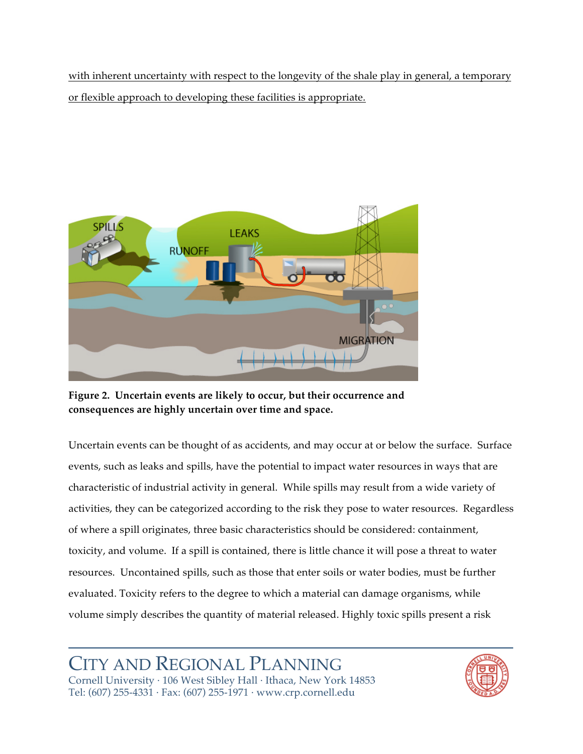with inherent uncertainty with respect to the longevity of the shale play in general, a temporary or
flexible
approach
to
developing
these
facilities
is
appropriate.



Figure 2. Uncertain events are likely to occur, but their occurrence and **consequences
are
highly
uncertain
over
time
and
space.**

Uncertain events can be thought of as accidents, and may occur at or below the surface. Surface events, such as leaks and spills, have the potential to impact water resources in ways that are characteristic
of
industrial
activity
in
general.

While
spills
may
result
from
a
wide
variety
of activities, they can be categorized according to the risk they pose to water resources. Regardless of
where
a
spill
originates,
three
basic
characteristics
should
be
considered:
containment, toxicity, and volume. If a spill is contained, there is little chance it will pose a threat to water resources.

Uncontained
spills,
such
as
those
that
enter
soils
or
water
bodies,
must
be
further evaluated. Toxicity refers to the degree to which a material can damage organisms, while volume simply describes the quantity of material released. Highly toxic spills present a risk

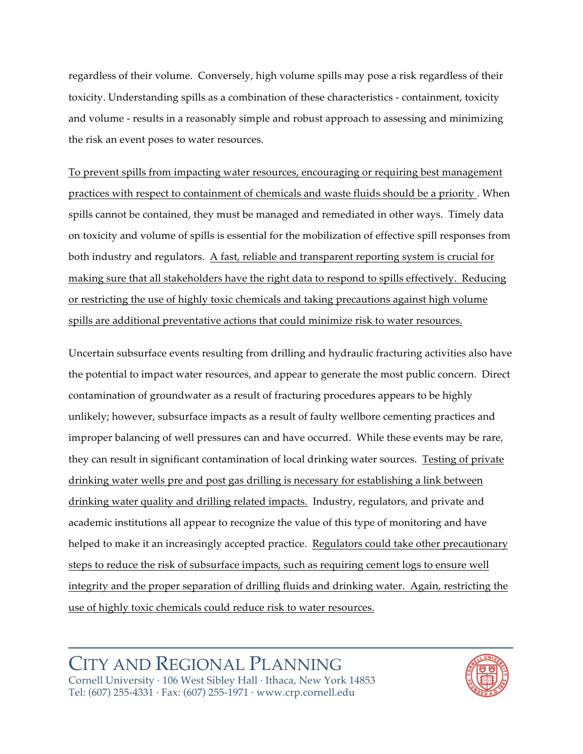regardless of their volume. Conversely, high volume spills may pose a risk regardless of their toxicity.
Understanding
spills
as
a
combination
of
these
characteristics
‑ containment,
toxicity and
volume
‑ results
in
a
reasonably
simple
and
robust
approach
to
assessing
and
minimizing the
risk
an
event
poses
to
water
resources.

To
prevent
spills
from
impacting
water
resources,
encouraging
or
requiring
best
management practices with respect to containment of chemicals and waste fluids should be a priority. When spills cannot be contained, they must be managed and remediated in other ways. Timely data on toxicity and volume of spills is essential for the mobilization of effective spill responses from both industry and regulators. A fast, reliable and transparent reporting system is crucial for making
sure
that
all
stakeholders
have
the
right
data
to
respond
to
spills
effectively.

Reducing or restricting the use of highly toxic chemicals and taking precautions against high volume spills are additional preventative actions that could minimize risk to water resources.

Uncertain subsurface events resulting from drilling and hydraulic fracturing activities also have the potential to impact water resources, and appear to generate the most public concern. Direct contamination
of
groundwater
as
a
result
of
fracturing
procedures
appears
to
be
highly unlikely;
however,
subsurface
impacts
as
a
result
of
faulty
wellbore
cementing
practices
and improper balancing of well pressures can and have occurred. While these events may be rare, they
can
result
in
significant
contamination
of
local
drinking
water
sources.

Testing
of
private drinking
water
wells
pre
and
post
gas
drilling
is
necessary
for
establishing
a
link
between drinking water quality and drilling related impacts. Industry, regulators, and private and academic
institutions
all
appear
to
recognize
the
value
of
this
type
of
monitoring
and
have helped to make it an increasingly accepted practice. Regulators could take other precautionary steps to reduce the risk of subsurface impacts, such as requiring cement logs to ensure well integrity and the proper separation of drilling fluids and drinking water. Again, restricting the use
of
highly
toxic
chemicals
could
reduce
risk
to
water
resources.